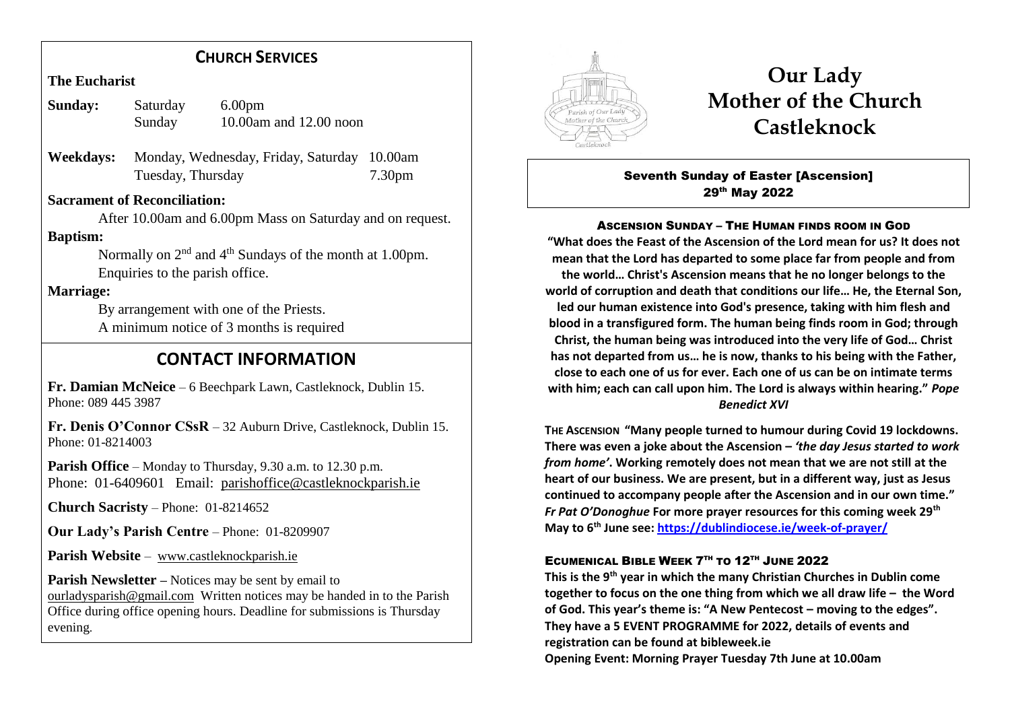## **CHURCH SERVICES**

**The Eucharist**

| Sunday: | Saturday | 6.00 <sub>pm</sub>       |
|---------|----------|--------------------------|
|         | Sunday   | 10.00am and $12.00$ noon |

**Weekdays:** Monday, Wednesday, Friday, Saturday 10.00am Tuesday, Thursday 7.30pm

### **Sacrament of Reconciliation:**

 After 10.00am and 6.00pm Mass on Saturday and on request. **Baptism:**

Normally on  $2<sup>nd</sup>$  and  $4<sup>th</sup>$  Sundays of the month at 1.00pm. Enquiries to the parish office.

### **Marriage:**

 By arrangement with one of the Priests. A minimum notice of 3 months is required

## **CONTACT INFORMATION**

**Fr. Damian McNeice** – 6 Beechpark Lawn, Castleknock, Dublin 15. Phone: 089 445 3987

**Fr. Denis O'Connor CSsR** – 32 Auburn Drive, Castleknock, Dublin 15. Phone: 01-8214003

**Parish Office** – Monday to Thursday, 9.30 a.m. to 12.30 p.m. Phone: 01-6409601 Email: parishoffice@castleknockparish.ie

**Church Sacristy** – Phone: 01-8214652

**Our Lady's Parish Centre** – Phone: 01-8209907

**Parish Website** – www.castleknockparish.ie

**Parish Newsletter –** Notices may be sent by email to ourladysparish@gmail.com Written notices may be handed in to the Parish Office during office opening hours. Deadline for submissions is Thursday evening.



# **Our Lady Mother of the Church Castleknock**

Seventh Sunday of Easter [Ascension] 29<sup>th</sup> May 2022

### ASCENSION SUNDAY – THE HUMAN FINDS ROOM IN GOD

**"What does the Feast of the Ascension of the Lord mean for us? It does not mean that the Lord has departed to some place far from people and from the world… Christ's Ascension means that he no longer belongs to the world of corruption and death that conditions our life… He, the Eternal Son, led our human existence into God's presence, taking with him flesh and blood in a transfigured form. The human being finds room in God; through Christ, the human being was introduced into the very life of God… Christ has not departed from us… he is now, thanks to his being with the Father, close to each one of us for ever. Each one of us can be on intimate terms with him; each can call upon him. The Lord is always within hearing."** *Pope Benedict XVI*

**THE ASCENSION "Many people turned to humour during Covid 19 lockdowns. There was even a joke about the Ascension –** *'the day Jesus started to work from home'***. Working remotely does not mean that we are not still at the heart of our business. We are present, but in a different way, just as Jesus continued to accompany people after the Ascension and in our own time."**  *Fr Pat O'Donoghue* **For more prayer resources for this coming week 29th May to 6th June see: https://dublindiocese.ie/week-of-prayer/**

### ECUMENICAL BIBLE WEEK 7<sup>th</sup> to 12<sup>th</sup> June 2022

**This is the 9th year in which the many Christian Churches in Dublin come together to focus on the one thing from which we all draw life – the Word of God. This year's theme is: "A New Pentecost – moving to the edges". They have a 5 EVENT PROGRAMME for 2022, details of events and registration can be found at bibleweek.ie Opening Event: Morning Prayer Tuesday 7th June at 10.00am**